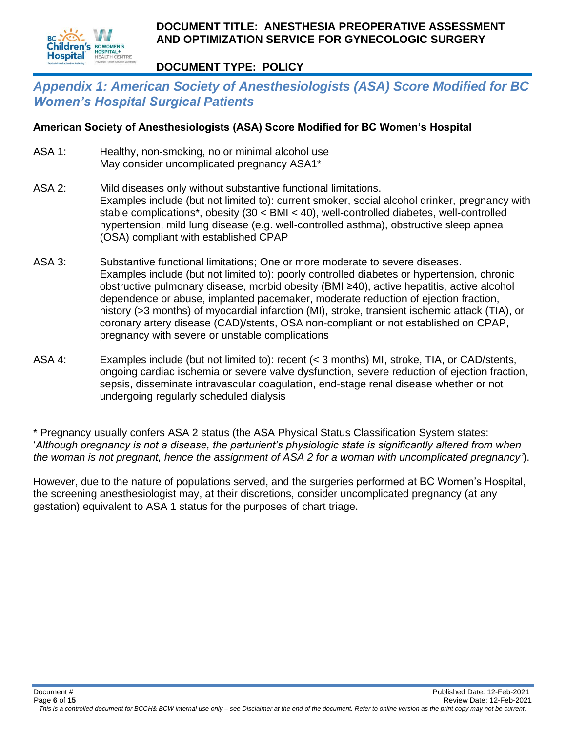

#### **DOCUMENT TYPE: POLICY**

## *Appendix 1: American Society of Anesthesiologists (ASA) Score Modified for BC Women's Hospital Surgical Patients*

#### **American Society of Anesthesiologists (ASA) Score Modified for BC Women's Hospital**

- ASA 1: Healthy, non-smoking, no or minimal alcohol use May consider uncomplicated pregnancy ASA1\*
- ASA 2: Mild diseases only without substantive functional limitations. Examples include (but not limited to): current smoker, social alcohol drinker, pregnancy with stable complications\*, obesity (30 < BMI < 40), well-controlled diabetes, well-controlled hypertension, mild lung disease (e.g. well-controlled asthma), obstructive sleep apnea (OSA) compliant with established CPAP
- ASA 3: Substantive functional limitations; One or more moderate to severe diseases. Examples include (but not limited to): poorly controlled diabetes or hypertension, chronic obstructive pulmonary disease, morbid obesity (BMI ≥40), active hepatitis, active alcohol dependence or abuse, implanted pacemaker, moderate reduction of ejection fraction, history (>3 months) of myocardial infarction (MI), stroke, transient ischemic attack (TIA), or coronary artery disease (CAD)/stents, OSA non-compliant or not established on CPAP, pregnancy with severe or unstable complications
- ASA 4: Examples include (but not limited to): recent (< 3 months) MI, stroke, TIA, or CAD/stents, ongoing cardiac ischemia or severe valve dysfunction, severe reduction of ejection fraction, sepsis, disseminate intravascular coagulation, end-stage renal disease whether or not undergoing regularly scheduled dialysis

\* Pregnancy usually confers ASA 2 status (the ASA Physical Status Classification System states: '*Although pregnancy is not a disease, the parturient's physiologic state is significantly altered from when the woman is not pregnant, hence the assignment of ASA 2 for a woman with uncomplicated pregnancy'*).

However, due to the nature of populations served, and the surgeries performed at BC Women's Hospital, the screening anesthesiologist may, at their discretions, consider uncomplicated pregnancy (at any gestation) equivalent to ASA 1 status for the purposes of chart triage.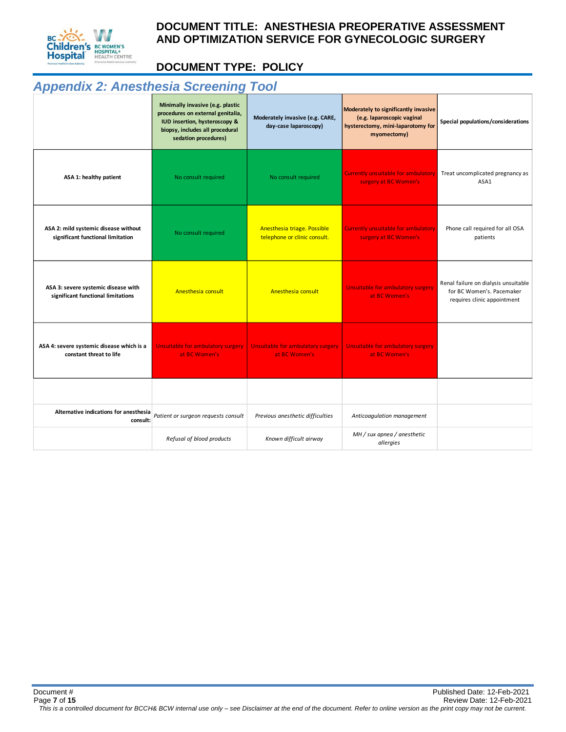

## **DOCUMENT TYPE: POLICY**

# *Appendix 2: Anesthesia Screening Tool*

|                                                                           | Minimally invasive (e.g. plastic<br>procedures on external genitalia,<br>IUD insertion, hysteroscopy &<br>biopsy, includes all procedural<br>sedation procedures) | Moderately invasive (e.g. CARE,<br>day-case laparoscopy)    | Moderately to significantly invasive<br>(e.g. laparoscopic vaginal<br>hysterectomy, mini-laparotomy for<br>myomectomy) | Special populations/considerations                                                               |  |
|---------------------------------------------------------------------------|-------------------------------------------------------------------------------------------------------------------------------------------------------------------|-------------------------------------------------------------|------------------------------------------------------------------------------------------------------------------------|--------------------------------------------------------------------------------------------------|--|
| ASA 1: healthy patient                                                    | No consult required                                                                                                                                               | No consult required                                         | <b>Currently unsuitable for ambulatory</b><br>surgery at BC Women's                                                    | Treat uncomplicated pregnancy as<br>ASA1                                                         |  |
| ASA 2: mild systemic disease without<br>significant functional limitation | No consult required                                                                                                                                               | Anesthesia triage. Possible<br>telephone or clinic consult. | <b>Currently unsuitable for ambulatory</b><br>surgery at BC Women's                                                    | Phone call required for all OSA<br>patients                                                      |  |
| ASA 3: severe systemic disease with<br>significant functional limitations | Anesthesia consult                                                                                                                                                | Anesthesia consult                                          | Unsuitable for ambulatory surgery<br>at BC Women's                                                                     | Renal failure on dialysis unsuitable<br>for BC Women's, Pacemaker<br>requires clinic appointment |  |
| ASA 4: severe systemic disease which is a<br>constant threat to life      | Unsuitable for ambulatory surgery<br>at BC Women's                                                                                                                | Unsuitable for ambulatory surgery<br>at BC Women's          | Unsuitable for ambulatory surgery<br>at BC Women's                                                                     |                                                                                                  |  |
|                                                                           |                                                                                                                                                                   |                                                             |                                                                                                                        |                                                                                                  |  |
| Alternative indications for anesthesia<br>consult:                        | Patient or surgeon requests consult                                                                                                                               | Previous anesthetic difficulties                            | Anticoagulation management                                                                                             |                                                                                                  |  |
|                                                                           | Refusal of blood products                                                                                                                                         | Known difficult airway                                      | MH / sux apnea / anesthetic<br>allergies                                                                               |                                                                                                  |  |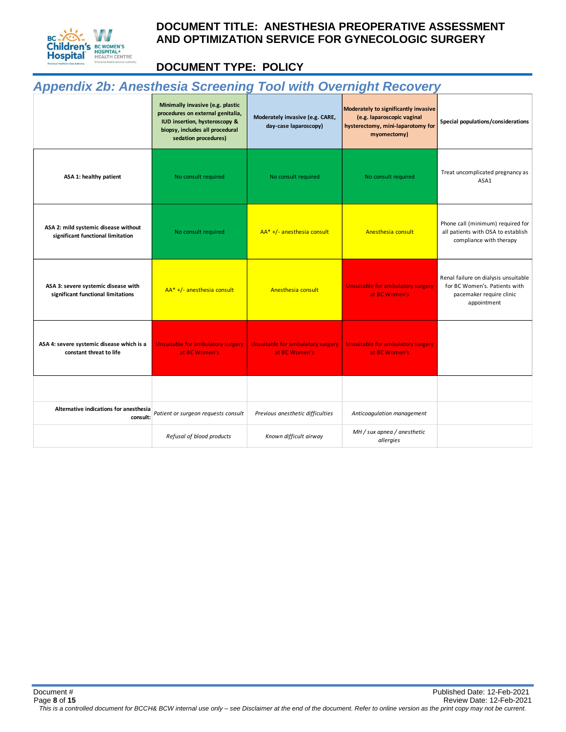

## **DOCUMENT TYPE: POLICY**

# *Appendix 2b: Anesthesia Screening Tool with Overnight Recovery*

|                                                                           | Minimally invasive (e.g. plastic<br>procedures on external genitalia,<br>IUD insertion, hysteroscopy &<br>biopsy, includes all procedural<br>sedation procedures) | Moderately invasive (e.g. CARE,<br>day-case laparoscopy) | Moderately to significantly invasive<br>(e.g. laparoscopic vaginal<br>hysterectomy, mini-laparotomy for<br>myomectomy) | Special populations/considerations                                                                               |  |
|---------------------------------------------------------------------------|-------------------------------------------------------------------------------------------------------------------------------------------------------------------|----------------------------------------------------------|------------------------------------------------------------------------------------------------------------------------|------------------------------------------------------------------------------------------------------------------|--|
| ASA 1: healthy patient                                                    | No consult required                                                                                                                                               | No consult required                                      | No consult required                                                                                                    | Treat uncomplicated pregnancy as<br>ASA1                                                                         |  |
| ASA 2: mild systemic disease without<br>significant functional limitation | No consult required                                                                                                                                               | AA* +/- anesthesia consult                               | Anesthesia consult                                                                                                     | Phone call (minimum) required for<br>all patients with OSA to establish<br>compliance with therapy               |  |
| ASA 3: severe systemic disease with<br>significant functional limitations | AA* +/- anesthesia consult                                                                                                                                        | Anesthesia consult                                       | Unsuitable for ambulatory surgery<br>at BC Women's                                                                     | Renal failure on dialysis unsuitable<br>for BC Women's. Patients with<br>pacemaker require clinic<br>appointment |  |
| ASA 4: severe systemic disease which is a<br>constant threat to life      | Unsuitable for ambulatory surgery<br>at BC Women's                                                                                                                | Unsuitable for ambulatory surgery<br>at BC Women's       | Unsuitable for ambulatory surgery<br>at BC Women's                                                                     |                                                                                                                  |  |
|                                                                           |                                                                                                                                                                   |                                                          |                                                                                                                        |                                                                                                                  |  |
| Alternative indications for anesthesia<br>consult:                        | Patient or surgeon requests consult                                                                                                                               | Previous anesthetic difficulties                         | Anticoagulation management                                                                                             |                                                                                                                  |  |
|                                                                           | Refusal of blood products                                                                                                                                         | Known difficult airway                                   | MH / sux apnea / anesthetic<br>allergies                                                                               |                                                                                                                  |  |